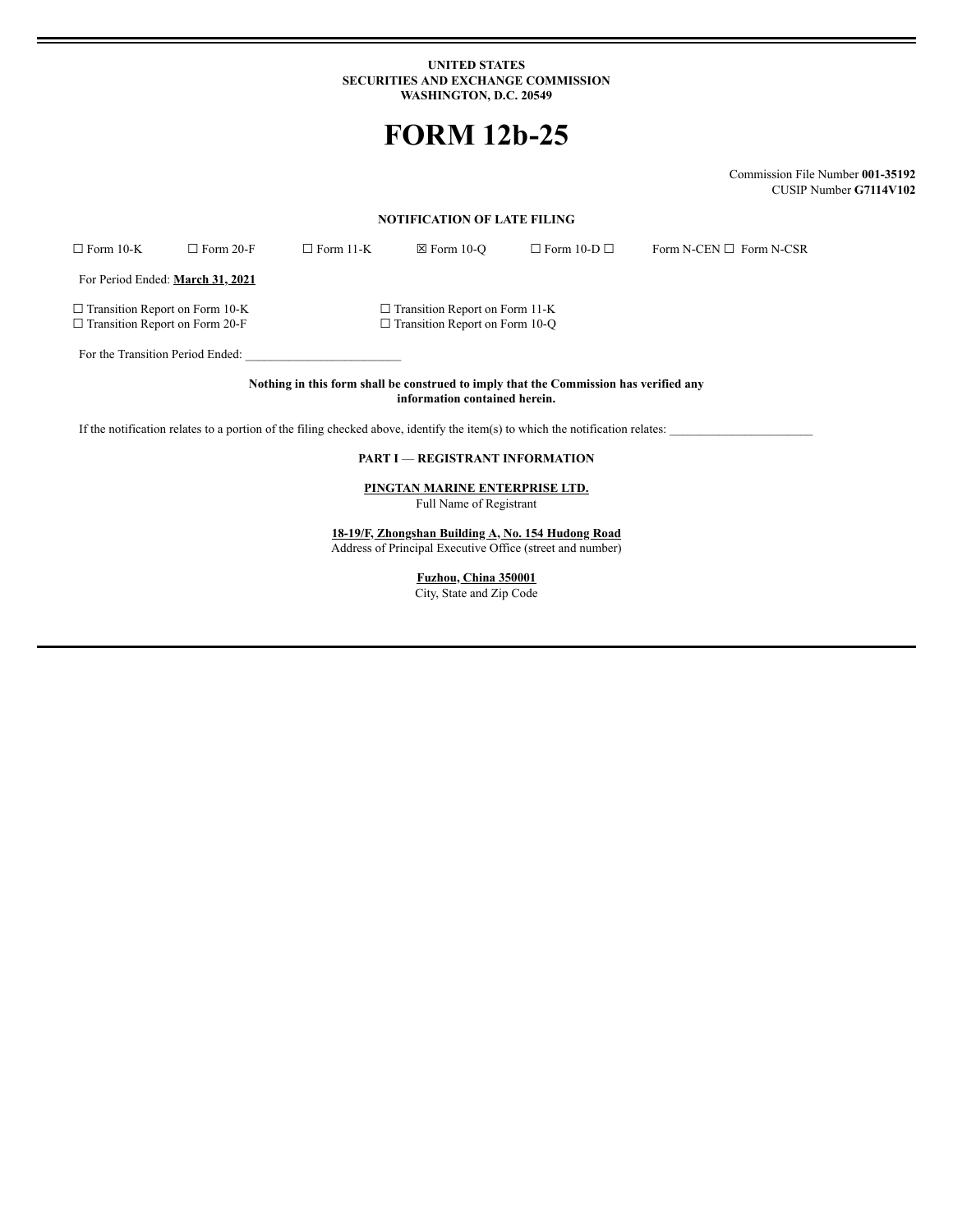#### **UNITED STATES SECURITIES AND EXCHANGE COMMISSION WASHINGTON, D.C. 20549**

# **FORM 12b-25**

Commission File Number **001-35192** CUSIP Number **G7114V102**

### **NOTIFICATION OF LATE FILING**

| $\Box$ Form 10-K | $\Box$ Form 20-F | $\Box$ Form 11-K | $\boxtimes$ Form 10-O | $\Box$ Form 10-D $\Box$ | Form N-CEN $\square$ Form N-CSR |
|------------------|------------------|------------------|-----------------------|-------------------------|---------------------------------|
|                  |                  |                  |                       |                         |                                 |

For Period Ended: **March 31, 2021**

☐ Transition Report on Form 10-K ☐ Transition Report on Form 11-K ☐ Transition Report on Form 20-F ☐ Transition Report on Form 10-Q

For the Transition Period Ended:

**Nothing in this form shall be construed to imply that the Commission has verified any information contained herein.**

If the notification relates to a portion of the filing checked above, identify the item(s) to which the notification relates:

#### **PART I** — **REGISTRANT INFORMATION**

**PINGTAN MARINE ENTERPRISE LTD.** Full Name of Registrant

**18-19/F, Zhongshan Building A, No. 154 Hudong Road** Address of Principal Executive Office (street and number)

**Fuzhou, China 350001**

City, State and Zip Code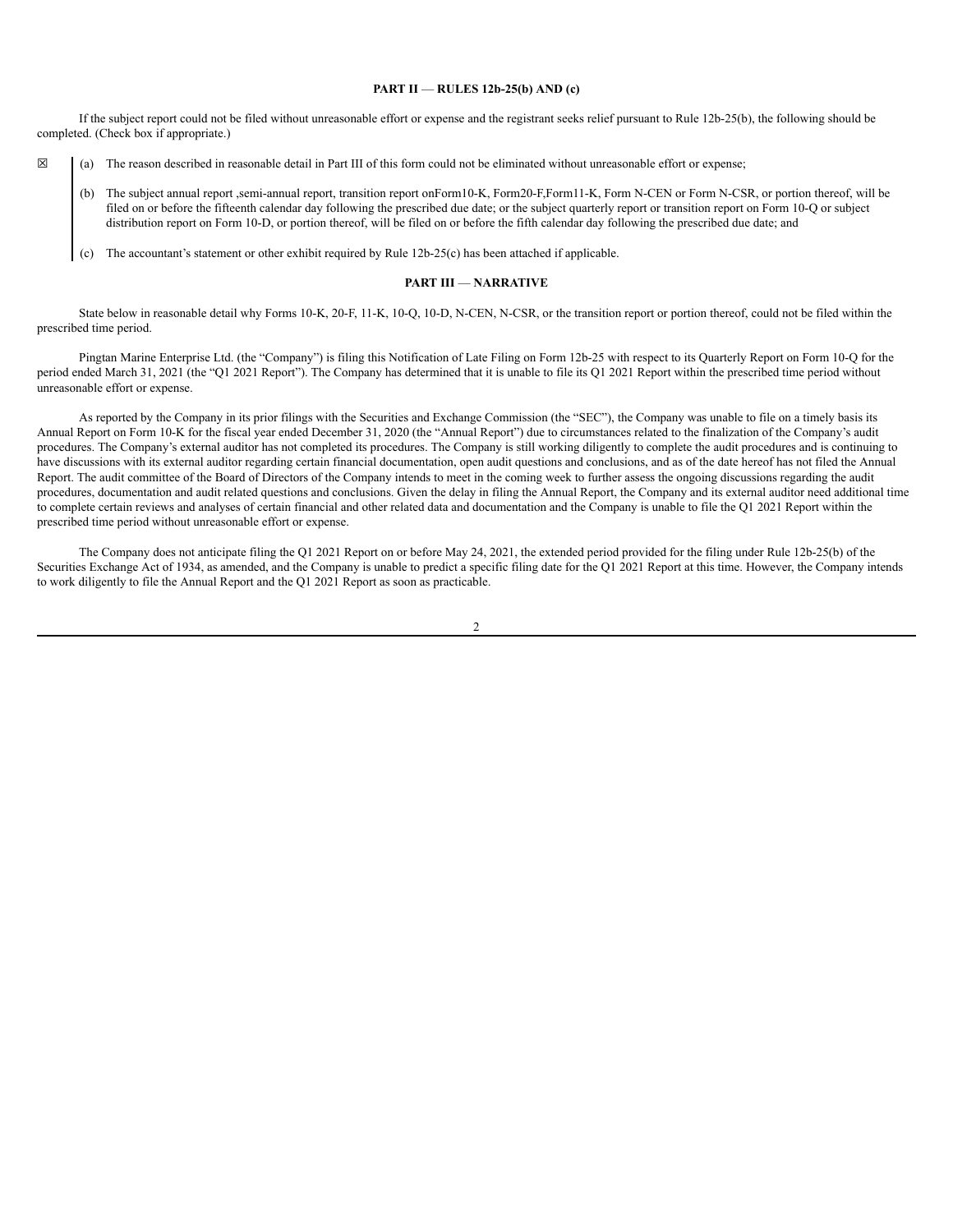#### **PART II** — **RULES 12b-25(b) AND (c)**

If the subject report could not be filed without unreasonable effort or expense and the registrant seeks relief pursuant to Rule 12b-25(b), the following should be completed. (Check box if appropriate.)

- $\boxtimes$  (a) The reason described in reasonable detail in Part III of this form could not be eliminated without unreasonable effort or expense;
	- (b) The subject annual report ,semi-annual report, transition report onForm10-K, Form20-F,Form11-K, Form N-CEN or Form N-CSR, or portion thereof, will be filed on or before the fifteenth calendar day following the prescribed due date; or the subject quarterly report or transition report on Form 10-Q or subject distribution report on Form 10-D, or portion thereof, will be filed on or before the fifth calendar day following the prescribed due date; and
	- (c) The accountant's statement or other exhibit required by Rule 12b-25(c) has been attached if applicable.

#### **PART III** — **NARRATIVE**

State below in reasonable detail why Forms 10-K, 20-F, 11-K, 10-Q, 10-D, N-CEN, N-CSR, or the transition report or portion thereof, could not be filed within the prescribed time period.

Pingtan Marine Enterprise Ltd. (the "Company") is filing this Notification of Late Filing on Form 12b-25 with respect to its Quarterly Report on Form 10-Q for the period ended March 31, 2021 (the "Q1 2021 Report"). The Company has determined that it is unable to file its Q1 2021 Report within the prescribed time period without unreasonable effort or expense.

As reported by the Company in its prior filings with the Securities and Exchange Commission (the "SEC"), the Company was unable to file on a timely basis its Annual Report on Form 10-K for the fiscal year ended December 31, 2020 (the "Annual Report") due to circumstances related to the finalization of the Company's audit procedures. The Company's external auditor has not completed its procedures. The Company is still working diligently to complete the audit procedures and is continuing to have discussions with its external auditor regarding certain financial documentation, open audit questions and conclusions, and as of the date hereof has not filed the Annual Report. The audit committee of the Board of Directors of the Company intends to meet in the coming week to further assess the ongoing discussions regarding the audit procedures, documentation and audit related questions and conclusions. Given the delay in filing the Annual Report, the Company and its external auditor need additional time to complete certain reviews and analyses of certain financial and other related data and documentation and the Company is unable to file the Q1 2021 Report within the prescribed time period without unreasonable effort or expense.

The Company does not anticipate filing the Q1 2021 Report on or before May 24, 2021, the extended period provided for the filing under Rule 12b-25(b) of the Securities Exchange Act of 1934, as amended, and the Company is unable to predict a specific filing date for the Q1 2021 Report at this time. However, the Company intends to work diligently to file the Annual Report and the Q1 2021 Report as soon as practicable.

2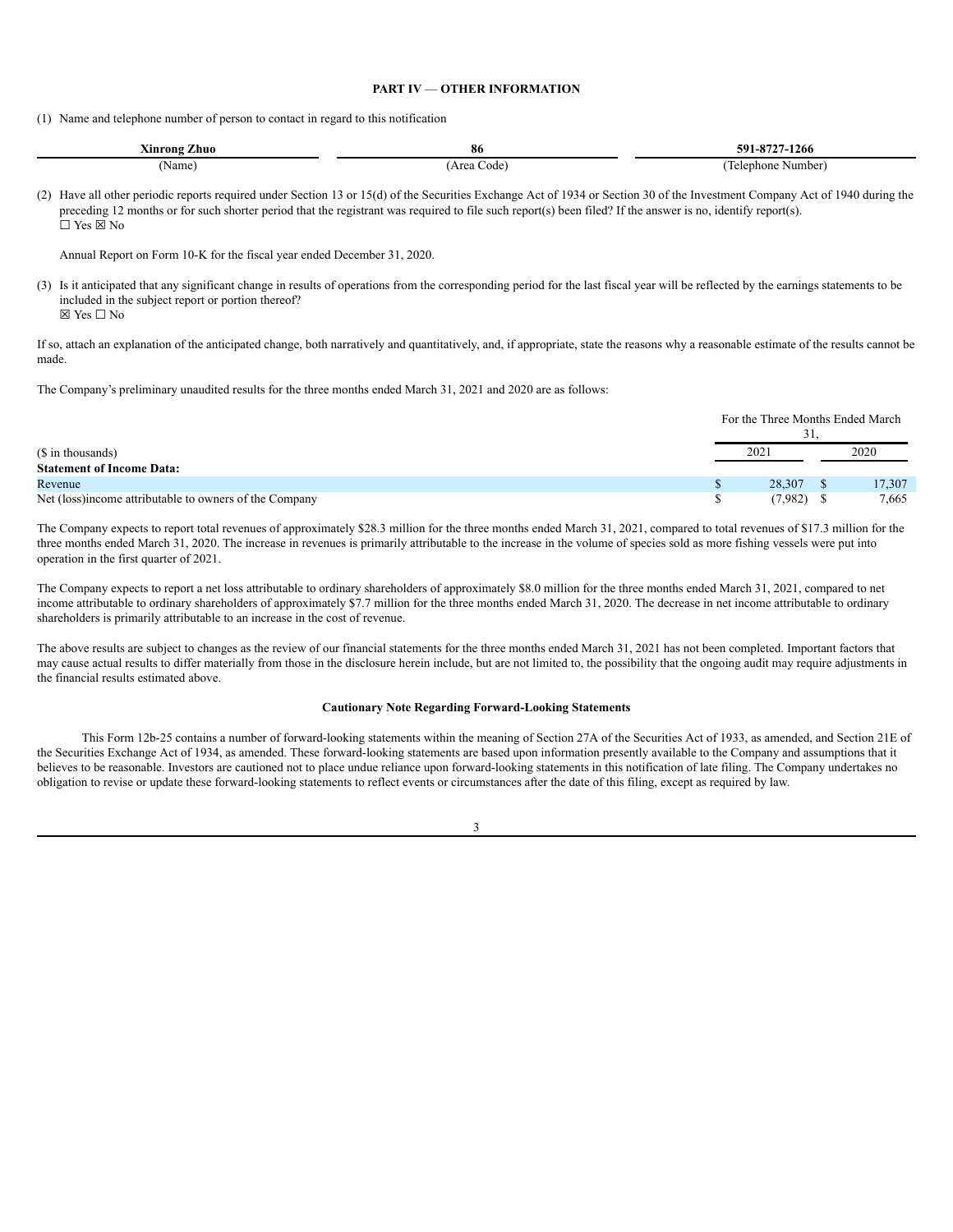## **PART IV** — **OTHER INFORMATION**

(1) Name and telephone number of person to contact in regard to this notification

| $  -$<br>Ainrong<br>Zhuo | 80                | $\Omega$<br>$591 - 6$<br>7-1266 |  |  |  |
|--------------------------|-------------------|---------------------------------|--|--|--|
| Name                     | Area<br>Code<br>. | Numbe<br>Telephone              |  |  |  |

(2) Have all other periodic reports required under Section 13 or 15(d) of the Securities Exchange Act of 1934 or Section 30 of the Investment Company Act of 1940 during the preceding 12 months or for such shorter period that the registrant was required to file such report(s) been filed? If the answer is no, identify report(s). ☐ Yes ☒ No

Annual Report on Form 10-K for the fiscal year ended December 31, 2020.

(3) Is it anticipated that any significant change in results of operations from the corresponding period for the last fiscal year will be reflected by the earnings statements to be included in the subject report or portion thereof?

☒ Yes ☐ No

If so, attach an explanation of the anticipated change, both narratively and quantitatively, and, if appropriate, state the reasons why a reasonable estimate of the results cannot be made.

The Company's preliminary unaudited results for the three months ended March 31, 2021 and 2020 are as follows:

|                                                         | For the Three Months Ended March<br>JІ |         |  |        |  |
|---------------------------------------------------------|----------------------------------------|---------|--|--------|--|
| (\$ in thousands)                                       |                                        | 2021    |  | 2020   |  |
| <b>Statement of Income Data:</b>                        |                                        |         |  |        |  |
| Revenue                                                 |                                        | 28,307  |  | 17,307 |  |
| Net (loss) income attributable to owners of the Company |                                        | (7,982) |  | 7,665  |  |

The Company expects to report total revenues of approximately \$28.3 million for the three months ended March 31, 2021, compared to total revenues of \$17.3 million for the three months ended March 31, 2020. The increase in revenues is primarily attributable to the increase in the volume of species sold as more fishing vessels were put into operation in the first quarter of 2021.

The Company expects to report a net loss attributable to ordinary shareholders of approximately \$8.0 million for the three months ended March 31, 2021, compared to net income attributable to ordinary shareholders of approximately \$7.7 million for the three months ended March 31, 2020. The decrease in net income attributable to ordinary shareholders is primarily attributable to an increase in the cost of revenue.

The above results are subject to changes as the review of our financial statements for the three months ended March 31, 2021 has not been completed. Important factors that may cause actual results to differ materially from those in the disclosure herein include, but are not limited to, the possibility that the ongoing audit may require adjustments in the financial results estimated above.

#### **Cautionary Note Regarding Forward-Looking Statements**

This Form 12b-25 contains a number of forward-looking statements within the meaning of Section 27A of the Securities Act of 1933, as amended, and Section 21E of the Securities Exchange Act of 1934, as amended. These forward-looking statements are based upon information presently available to the Company and assumptions that it believes to be reasonable. Investors are cautioned not to place undue reliance upon forward-looking statements in this notification of late filing. The Company undertakes no obligation to revise or update these forward-looking statements to reflect events or circumstances after the date of this filing, except as required by law.

3